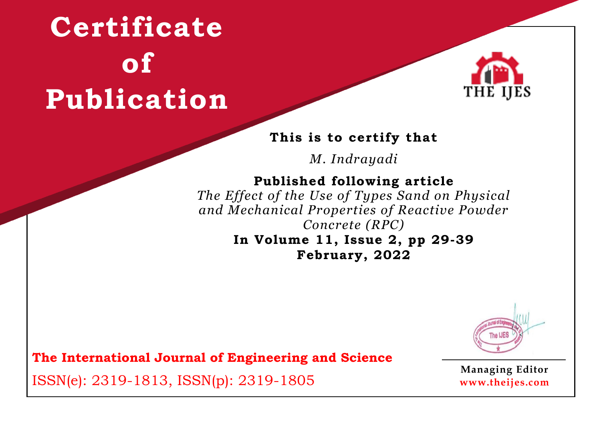

## **This is to certify that**

*M. Indrayadi*

# **Published following article**

*The Effect of the Use of Types Sand on Physical and Mechanical Properties of Reactive Powder Concrete (RPC)*

### **In Volume 11, Issue 2, pp 29-39 February, 2022**



**The International Journal of Engineering and Science**

ISSN(e): 2319-1813, ISSN(p): 2319-1805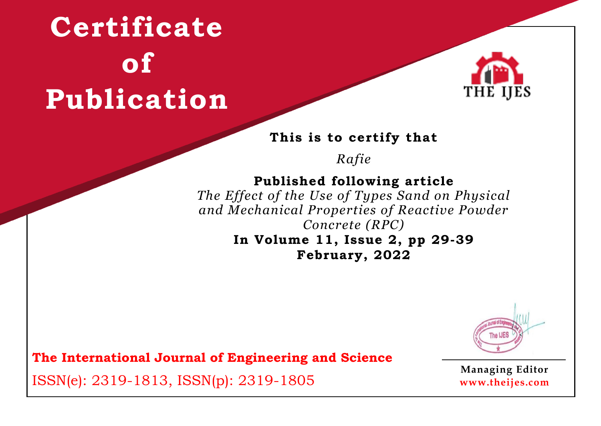

### **This is to certify that**

*Rafie*

## **Published following article**

*The Effect of the Use of Types Sand on Physical and Mechanical Properties of Reactive Powder Concrete (RPC)*

### **In Volume 11, Issue 2, pp 29-39 February, 2022**



**The International Journal of Engineering and Science**

ISSN(e): 2319-1813, ISSN(p): 2319-1805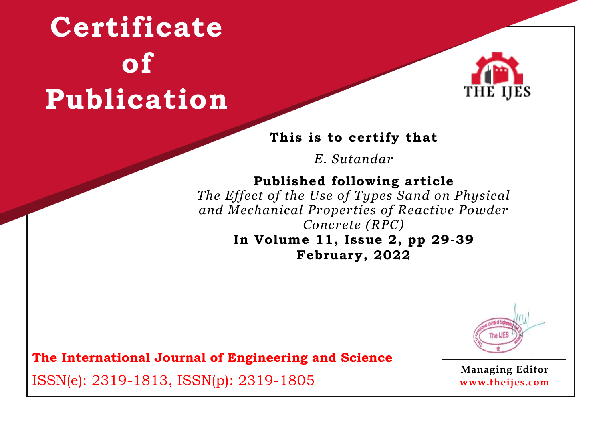

### **This is to certify that**

*E. Sutandar*

# **Published following article**

*The Effect of the Use of Types Sand on Physical and Mechanical Properties of Reactive Powder Concrete (RPC)*

### **In Volume 11, Issue 2, pp 29-39 February, 2022**



**The International Journal of Engineering and Science**

ISSN(e): 2319-1813, ISSN(p): 2319-1805